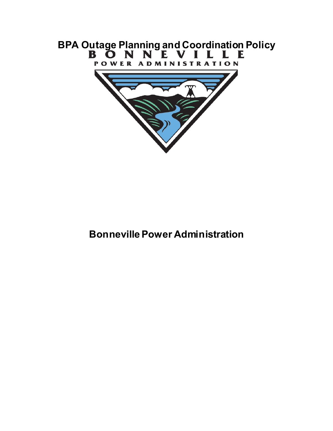

# **Bonneville Power Administration**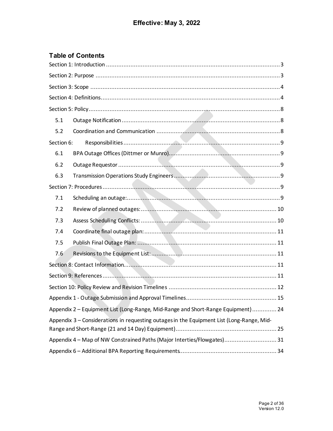# **Table of Contents**

| 5.1                                                                                       |
|-------------------------------------------------------------------------------------------|
| 5.2                                                                                       |
| Section 6:                                                                                |
| 6.1                                                                                       |
| 6.2                                                                                       |
| 6.3                                                                                       |
|                                                                                           |
| 7.1                                                                                       |
| 7.2                                                                                       |
| 7.3                                                                                       |
| 7.4                                                                                       |
| 7.5                                                                                       |
| 7.6                                                                                       |
|                                                                                           |
|                                                                                           |
|                                                                                           |
|                                                                                           |
| Appendix 2 – Equipment List (Long-Range, Mid-Range and Short-Range Equipment) 24          |
| Appendix 3 - Considerations in requesting outages in the Equipment List (Long-Range, Mid- |
| Appendix 4 - Map of NW Constrained Paths (Major Interties/Flowgates) 31                   |
|                                                                                           |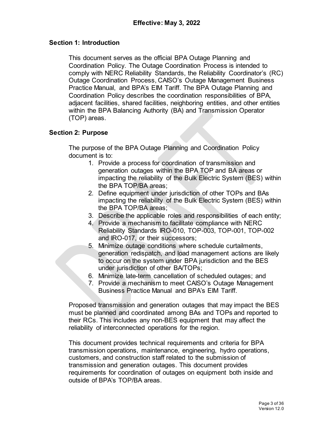#### <span id="page-2-0"></span>**Section 1: Introduction**

This document serves as the official BPA Outage Planning and Coordination Policy. The Outage Coordination Process is intended to comply with NERC Reliability Standards, the Reliability Coordinator's (RC) Outage Coordination Process, CAISO's Outage Management Business Practice Manual, and BPA's EIM Tariff. The BPA Outage Planning and Coordination Policy describes the coordination responsibilities of BPA, adjacent facilities, shared facilities, neighboring entities, and other entities within the BPA Balancing Authority (BA) and Transmission Operator (TOP) areas.

#### <span id="page-2-1"></span>**Section 2: Purpose**

The purpose of the BPA Outage Planning and Coordination Policy document is to:

- 1. Provide a process for coordination of transmission and generation outages within the BPA TOP and BA areas or impacting the reliability of the Bulk Electric System (BES) within the BPA TOP/BA areas;
- 2. Define equipment under jurisdiction of other TOPs and BAs impacting the reliability of the Bulk Electric System (BES) within the BPA TOP/BA areas;
- 3. Describe the applicable roles and responsibilities of each entity;
- 4. Provide a mechanism to facilitate compliance with NERC Reliability Standards IRO-010, TOP-003, TOP-001, TOP-002 and IRO-017, or their successors;
- 5. Minimize outage conditions where schedule curtailments, generation redispatch, and load management actions are likely to occur on the system under BPA jurisdiction and the BES under jurisdiction of other BA/TOPs;
- 6. Minimize late-term cancellation of scheduled outages; and
- 7. Provide a mechanism to meet CAISO's Outage Management Business Practice Manual and BPA's EIM Tariff.

Proposed transmission and generation outages that may impact the BES must be planned and coordinated among BAs and TOPs and reported to their RCs. This includes any non-BES equipment that may affect the reliability of interconnected operations for the region.

This document provides technical requirements and criteria for BPA transmission operations, maintenance, engineering, hydro operations, customers, and construction staff related to the submission of transmission and generation outages. This document provides requirements for coordination of outages on equipment both inside and outside of BPA's TOP/BA areas.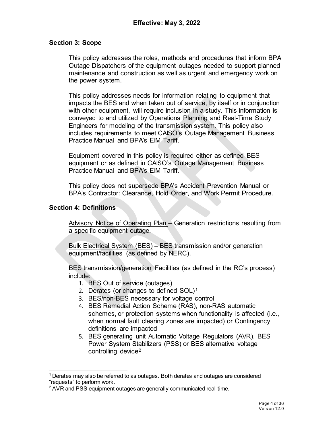#### <span id="page-3-0"></span>**Section 3: Scope**

This policy addresses the roles, methods and procedures that inform BPA Outage Dispatchers of the equipment outages needed to support planned maintenance and construction as well as urgent and emergency work on the power system.

This policy addresses needs for information relating to equipment that impacts the BES and when taken out of service, by itself or in conjunction with other equipment, will require inclusion in a study. This information is conveyed to and utilized by Operations Planning and Real-Time Study Engineers for modeling of the transmission system. This policy also includes requirements to meet CAISO's Outage Management Business Practice Manual and BPA's EIM Tariff.

Equipment covered in this policy is required either as defined BES equipment or as defined in CAISO's Outage Management Business Practice Manual and BPA's EIM Tariff.

This policy does not supersede BPA's Accident Prevention Manual or BPA's Contractor: Clearance, Hold Order, and Work Permit Procedure.

#### <span id="page-3-1"></span>**Section 4: Definitions**

Advisory Notice of Operating Plan – Generation restrictions resulting from a specific equipment outage.

Bulk Electrical System (BES) – BES transmission and/or generation equipment/facilities (as defined by NERC).

BES transmission/generation Facilities (as defined in the RC's process) include:

- 1. BES Out of service (outages)
- 2. Derates (or changes to defined  $SOL$ <sup>[1](#page-3-2)</sup>
- 3. BES/non-BES necessary for voltage control
- 4. BES Remedial Action Scheme (RAS), non-RAS automatic schemes, or protection systems when functionality is affected (i.e., when normal fault clearing zones are impacted) or Contingency definitions are impacted
- 5. BES generating unit Automatic Voltage Regulators (AVR), BES Power System Stabilizers (PSS) or BES alternative voltage controlling device[2](#page-3-3)

<span id="page-3-2"></span> <sup>1</sup> Derates may also be referred to as outages. Both derates and outages are considered "requests" to perform work.

<span id="page-3-3"></span><sup>&</sup>lt;sup>2</sup> AVR and PSS equipment outages are generally communicated real-time.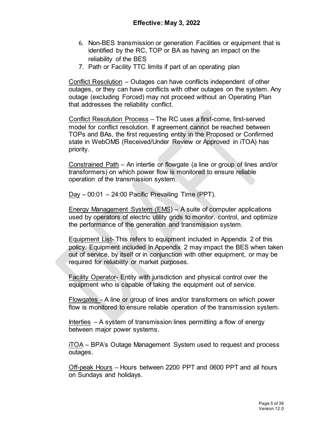- 6. Non-BES transmission or generation Facilities or equipment that is identified by the RC, TOP or BA as having an impact on the reliability of the BES
- 7. Path or Facility TTC limits if part of an operating plan

Conflict Resolution – Outages can have conflicts independent of other outages, or they can have conflicts with other outages on the system. Any outage (excluding Forced) may not proceed without an Operating Plan that addresses the reliability conflict.

Conflict Resolution Process – The RC uses a first-come, first-served model for conflict resolution. If agreement cannot be reached between TOPs and BAs, the first requesting entity in the Proposed or Confirmed state in WebOMS (Received/Under Review or Approved in iTOA) has priority.

Constrained Path – An intertie or flowgate (a line or group of lines and/or transformers) on which power flow is monitored to ensure reliable operation of the transmission system.

Day – 00:01 – 24:00 Pacific Prevailing Time (PPT).

Energy Management System (EMS) – A suite of computer applications used by operators of electric utility grids to monitor, control, and optimize the performance of the generation and transmission system.

Equipment List- This refers to equipment included in Appendix 2 of this policy. Equipment included in Appendix 2 may impact the BES when taken out of service, by itself or in conjunction with other equipment, or may be required for reliability or market purposes.

Facility Operator- Entity with jurisdiction and physical control over the equipment who is capable of taking the equipment out of service.

Flowgates - A line or group of lines and/or transformers on which power flow is monitored to ensure reliable operation of the transmission system.

Interties  $- A$  system of transmission lines permitting a flow of energy between major power systems.

iTOA – BPA's Outage Management System used to request and process outages.

Off-peak Hours – Hours between 2200 PPT and 0600 PPT and all hours on Sundays and holidays.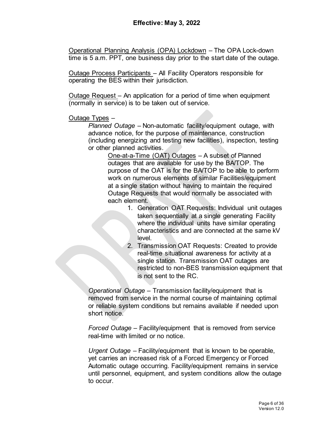Operational Planning Analysis (OPA) Lockdown – The OPA Lock-down time is 5 a.m. PPT, one business day prior to the start date of the outage.

Outage Process Participants – All Facility Operators responsible for operating the BES within their jurisdiction.

Outage Request – An application for a period of time when equipment (normally in service) is to be taken out of service.

Outage Types –

*Planned Outage* – Non-automatic facility/equipment outage, with advance notice, for the purpose of maintenance, construction (including energizing and testing new facilities), inspection, testing or other planned activities.

One-at-a-Time (OAT) Outages – A subset of Planned outages that are available for use by the BA/TOP. The purpose of the OAT is for the BA/TOP to be able to perform work on numerous elements of similar Facilities/equipment at a single station without having to maintain the required Outage Requests that would normally be associated with each element.

- 1. Generation OAT Requests: Individual unit outages taken sequentially at a single generating Facility where the individual units have similar operating characteristics and are connected at the same kV level.
- 2. Transmission OAT Requests: Created to provide real-time situational awareness for activity at a single station. Transmission OAT outages are restricted to non-BES transmission equipment that is not sent to the RC.

*Operational Outage* – Transmission facility/equipment that is removed from service in the normal course of maintaining optimal or reliable system conditions but remains available if needed upon short notice.

*Forced Outage* – Facility/equipment that is removed from service real-time with limited or no notice.

*Urgent Outage* – Facility/equipment that is known to be operable, yet carries an increased risk of a Forced Emergency or Forced Automatic outage occurring. Facility/equipment remains in service until personnel, equipment, and system conditions allow the outage to occur.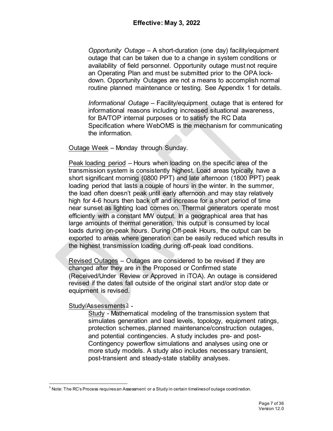*Opportunity Outage* – A short-duration (one day) facility/equipment outage that can be taken due to a change in system conditions or availability of field personnel. Opportunity outage must not require an Operating Plan and must be submitted prior to the OPA lockdown. Opportunity Outages are not a means to accomplish normal routine planned maintenance or testing. See Appendix 1 for details.

*Informational Outage* – Facility/equipment outage that is entered for informational reasons including increased situational awareness, for BA/TOP internal purposes or to satisfy the RC Data Specification where WebOMS is the mechanism for communicating the information.

Outage Week – Monday through Sunday.

Peak loading period – Hours when loading on the specific area of the transmission system is consistently highest. Load areas typically have a short significant morning (0800 PPT) and late afternoon (1800 PPT) peak loading period that lasts a couple of hours in the winter. In the summer, the load often doesn't peak until early afternoon and may stay relatively high for 4-6 hours then back off and increase for a short period of time near sunset as lighting load comes on. Thermal generators operate most efficiently with a constant MW output. In a geographical area that has large amounts of thermal generation, this output is consumed by local loads during on-peak hours. During Off-peak Hours, the output can be exported to areas where generation can be easily reduced which results in the highest transmission loading during off-peak load conditions.

Revised Outages – Outages are considered to be revised if they are changed after they are in the Proposed or Confirmed state (Received/Under Review or Approved in iTOA). An outage is considered revised if the dates fall outside of the original start and/or stop date or equipment is revised.

#### Study/Assessments [3](#page-6-0) -

Study - Mathematical modeling of the transmission system that simulates generation and load levels, topology, equipment ratings, protection schemes, planned maintenance/construction outages, and potential contingencies. A study includes pre- and post-Contingency powerflow simulations and analyses using one or more study models. A study also includes necessary transient, post-transient and steady-state stability analyses.

<span id="page-6-0"></span> $3$  Note: The RC's Process requires an Assessment or a Study in certain timelines of outage coordination.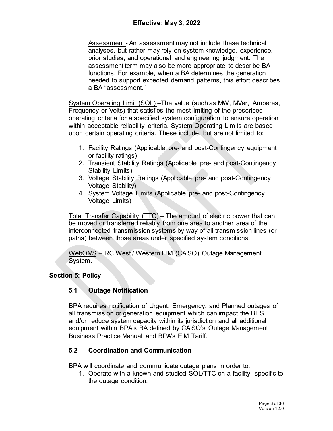Assessment - An assessment may not include these technical analyses, but rather may rely on system knowledge, experience, prior studies, and operational and engineering judgment. The assessment term may also be more appropriate to describe BA functions. For example, when a BA determines the generation needed to support expected demand patterns, this effort describes a BA "assessment."

System Operating Limit (SOL) –The value (such as MW, MVar, Amperes, Frequency or Volts) that satisfies the most limiting of the prescribed operating criteria for a specified system configuration to ensure operation within acceptable reliability criteria. System Operating Limits are based upon certain operating criteria. These include, but are not limited to:

- 1. Facility Ratings (Applicable pre- and post-Contingency equipment or facility ratings)
- 2. Transient Stability Ratings (Applicable pre- and post-Contingency Stability Limits)
- 3. Voltage Stability Ratings (Applicable pre- and post-Contingency Voltage Stability)
- 4. System Voltage Limits (Applicable pre- and post-Contingency Voltage Limits)

Total Transfer Capability (TTC) – The amount of electric power that can be moved or transferred reliably from one area to another area of the interconnected transmission systems by way of all transmission lines (or paths) between those areas under specified system conditions.

WebOMS – RC West / Western EIM (CAISO) Outage Management System.

# <span id="page-7-1"></span><span id="page-7-0"></span>**Section 5: Policy**

# **5.1 Outage Notification**

BPA requires notification of Urgent, Emergency, and Planned outages of all transmission or generation equipment which can impact the BES and/or reduce system capacity within its jurisdiction and all additional equipment within BPA's BA defined by CAISO's Outage Management Business Practice Manual and BPA's EIM Tariff.

# <span id="page-7-2"></span>**5.2 Coordination and Communication**

BPA will coordinate and communicate outage plans in order to:

1. Operate with a known and studied SOL/TTC on a facility, specific to the outage condition;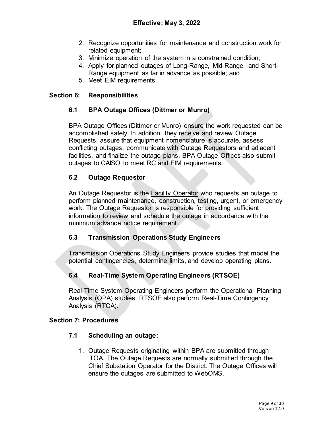- 2. Recognize opportunities for maintenance and construction work for related equipment;
- 3. Minimize operation of the system in a constrained condition;
- 4. Apply for planned outages of Long-Range, Mid-Range, and Short-Range equipment as far in advance as possible; and
- 5. Meet EIM requirements.

#### <span id="page-8-1"></span><span id="page-8-0"></span>**Section 6: Responsibilities**

#### **6.1 BPA Outage Offices (Dittmer or Munro)**

BPA Outage Offices (Dittmer or Munro) ensure the work requested can be accomplished safely. In addition, they receive and review Outage Requests, assure that equipment nomenclature is accurate, assess conflicting outages, communicate with Outage Requestors and adjacent facilities, and finalize the outage plans. BPA Outage Offices also submit outages to CAISO to meet RC and EIM requirements.

#### <span id="page-8-2"></span>**6.2 Outage Requestor**

An Outage Requestor is the Facility Operator who requests an outage to perform planned maintenance, construction, testing, urgent, or emergency work. The Outage Requestor is responsible for providing sufficient information to review and schedule the outage in accordance with the minimum advance notice requirement.

# <span id="page-8-3"></span>**6.3 Transmission Operations Study Engineers**

Transmission Operations Study Engineers provide studies that model the potential contingencies, determine limits, and develop operating plans.

# **6.4 Real-Time System Operating Engineers (RTSOE)**

Real-Time System Operating Engineers perform the Operational Planning Analysis (OPA) studies. RTSOE also perform Real-Time Contingency Analysis (RTCA).

#### <span id="page-8-5"></span><span id="page-8-4"></span>**Section 7: Procedures**

#### **7.1 Scheduling an outage:**

1. Outage Requests originating within BPA are submitted through iTOA. The Outage Requests are normally submitted through the Chief Substation Operator for the District. The Outage Offices will ensure the outages are submitted to WebOMS.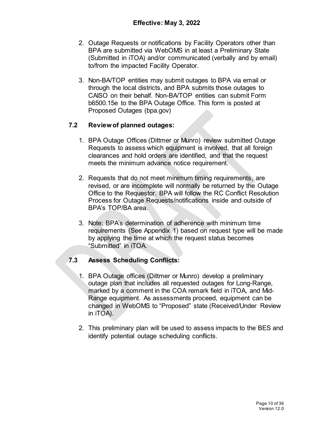- 2. Outage Requests or notifications by Facility Operators other than BPA are submitted via WebOMS in at least a Preliminary State (Submitted in iTOA) and/or communicated (verbally and by email) to/from the impacted Facility Operator.
- 3. Non-BA/TOP entities may submit outages to BPA via email or through the local districts, and BPA submits those outages to CAISO on their behalf. Non-BA/TOP entities can submit Form b6500.15e to the BPA Outage Office. This form is posted at [Proposed Outages \(bpa.gov\)](https://www.bpa.gov/transmission/Reports/Pages/Proposed-Outages.aspx)

# <span id="page-9-0"></span>**7.2 Review of planned outages:**

- 1. BPA Outage Offices (Dittmer or Munro) review submitted Outage Requests to assess which equipment is involved, that all foreign clearances and hold orders are identified, and that the request meets the minimum advance notice requirement.
- 2. Requests that do not meet minimum timing requirements, are revised, or are incomplete will normally be returned by the Outage Office to the Requestor. BPA will follow the RC Conflict Resolution Process for Outage Requests/notifications inside and outside of BPA's TOP/BA area.
- 3. Note: BPA's determination of adherence with minimum time requirements (See Appendix 1) based on request type will be made by applying the time at which the request status becomes "Submitted" in iTOA.

# <span id="page-9-1"></span>**7.3 Assess Scheduling Conflicts:**

- 1. BPA Outage offices (Dittmer or Munro) develop a preliminary outage plan that includes all requested outages for Long-Range, marked by a comment in the COA remark field in iTOA, and Mid-Range equipment. As assessments proceed, equipment can be changed in WebOMS to "Proposed" state (Received/Under Review in iTOA).
- 2. This preliminary plan will be used to assess impacts to the BES and identify potential outage scheduling conflicts.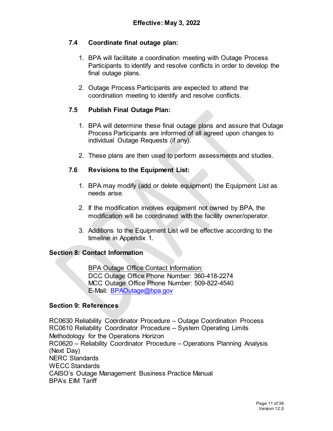#### <span id="page-10-0"></span>**7.4 Coordinate final outage plan:**

- 1. BPA will facilitate a coordination meeting with Outage Process Participants to identify and resolve conflicts in order to develop the final outage plans.
- 2. Outage Process Participants are expected to attend the coordination meeting to identify and resolve conflicts.

#### <span id="page-10-1"></span>**7.5 Publish Final Outage Plan:**

- 1. BPA will determine these final outage plans and assure that Outage Process Participants are informed of all agreed upon changes to individual Outage Requests (if any).
- 2. These plans are then used to perform assessments and studies.

# <span id="page-10-2"></span>**7.6 Revisions to the Equipment List:**

- 1. BPA may modify (add or delete equipment) the Equipment List as needs arise.
- 2. If the modification involves equipment not owned by BPA, the modification will be coordinated with the facility owner/operator.
- 3. Additions to the Equipment List will be effective according to the timeline in Appendix 1.

#### <span id="page-10-3"></span>**Section 8: Contact Information**

BPA Outage Office Contact Information: DCC Outage Office Phone Number: 360-418-2274 MCC Outage Office Phone Number: 509-822-4540 E-Mail: [BPAOutage@bpa.gov](mailto:BPAOutage@bpa.gov)

#### <span id="page-10-4"></span>**Section 9: References**

RC0630 Reliability Coordinator Procedure – Outage Coordination Process RC0610 Reliability Coordinator Procedure – System Operating Limits Methodology for the Operations Horizon RC0620 – Reliability Coordinator Procedure – Operations Planning Analysis (Next Day) NERC Standards WECC Standards CAISO's Outage Management Business Practice Manual BPA's EIM Tariff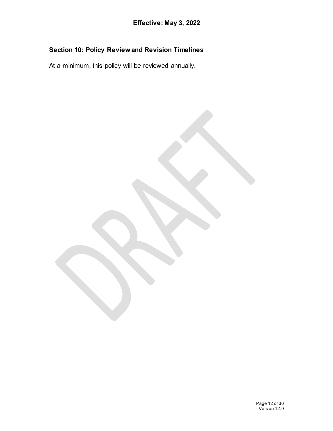# <span id="page-11-0"></span>**Section 10: Policy Review and Revision Timelines**

At a minimum, this policy will be reviewed annually.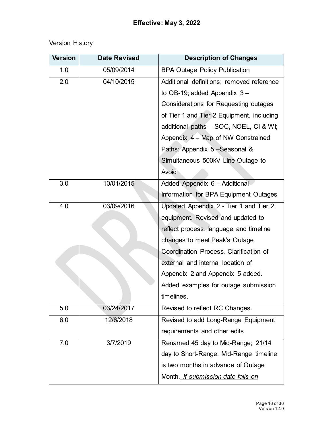# Version History

| <b>Version</b> | <b>Date Revised</b> | <b>Description of Changes</b>             |  |  |  |  |  |
|----------------|---------------------|-------------------------------------------|--|--|--|--|--|
| 1.0            | 05/09/2014          | <b>BPA Outage Policy Publication</b>      |  |  |  |  |  |
| 2.0            | 04/10/2015          | Additional definitions; removed reference |  |  |  |  |  |
|                |                     | to OB-19; added Appendix $3-$             |  |  |  |  |  |
|                |                     | Considerations for Requesting outages     |  |  |  |  |  |
|                |                     | of Tier 1 and Tier 2 Equipment, including |  |  |  |  |  |
|                |                     | additional paths - SOC, NOEL, CI & WI;    |  |  |  |  |  |
|                |                     | Appendix 4 – Map of NW Constrained        |  |  |  |  |  |
|                |                     | Paths; Appendix 5 - Seasonal &            |  |  |  |  |  |
|                |                     | Simultaneous 500kV Line Outage to         |  |  |  |  |  |
|                |                     | Avoid                                     |  |  |  |  |  |
| 3.0            | 10/01/2015          | Added Appendix 6 - Additional             |  |  |  |  |  |
|                |                     | Information for BPA Equipment Outages     |  |  |  |  |  |
| 4.0            | 03/09/2016          | Updated Appendix 2 - Tier 1 and Tier 2    |  |  |  |  |  |
|                |                     | equipment. Revised and updated to         |  |  |  |  |  |
|                |                     | reflect process, language and timeline    |  |  |  |  |  |
|                |                     | changes to meet Peak's Outage             |  |  |  |  |  |
|                |                     | Coordination Process. Clarification of    |  |  |  |  |  |
|                |                     | external and internal location of         |  |  |  |  |  |
|                |                     | Appendix 2 and Appendix 5 added.          |  |  |  |  |  |
|                |                     | Added examples for outage submission      |  |  |  |  |  |
|                |                     | timelines                                 |  |  |  |  |  |
| 5.0            | 03/24/2017          | Revised to reflect RC Changes.            |  |  |  |  |  |
| 6.0            | 12/6/2018           | Revised to add Long-Range Equipment       |  |  |  |  |  |
|                |                     | requirements and other edits              |  |  |  |  |  |
| 7.0            | 3/7/2019            | Renamed 45 day to Mid-Range; 21/14        |  |  |  |  |  |
|                |                     | day to Short-Range. Mid-Range timeline    |  |  |  |  |  |
|                |                     | is two months in advance of Outage        |  |  |  |  |  |
|                |                     | Month. If submission date falls on        |  |  |  |  |  |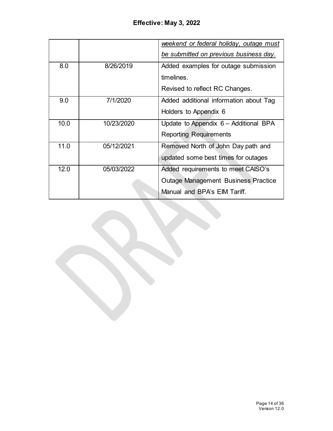|      |            | weekend or federal holiday, outage must<br>be submitted on previous business day. |
|------|------------|-----------------------------------------------------------------------------------|
|      |            |                                                                                   |
| 8.0  | 8/26/2019  | Added examples for outage submission                                              |
|      |            | timelines.                                                                        |
|      |            | Revised to reflect RC Changes.                                                    |
| 9.0  | 7/1/2020   | Added additional information about Tag                                            |
|      |            | Holders to Appendix 6                                                             |
| 10.0 | 10/23/2020 | Update to Appendix 6 - Additional BPA                                             |
|      |            | <b>Reporting Requirements</b>                                                     |
| 11.0 | 05/12/2021 | Removed North of John Day path and                                                |
|      |            | updated some best times for outages                                               |
| 12.0 | 05/03/2022 | Added requirements to meet CAISO's                                                |
|      |            | <b>Outage Management Business Practice</b>                                        |
|      |            | Manual and BPA's EIM Tariff.                                                      |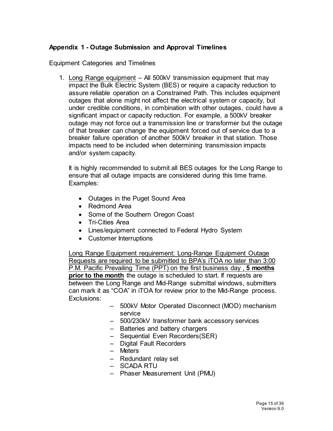#### <span id="page-14-0"></span>**Appendix 1 - Outage Submission and Approval Timelines**

Equipment Categories and Timelines

1. Long Range equipment – All 500kV transmission equipment that may impact the Bulk Electric System (BES) or require a capacity reduction to assure reliable operation on a Constrained Path. This includes equipment outages that alone might not affect the electrical system or capacity, but under credible conditions, in combination with other outages, could have a significant impact or capacity reduction. For example, a 500kV breaker outage may not force out a transmission line or transformer but the outage of that breaker can change the equipment forced out of service due to a breaker failure operation of another 500kV breaker in that station. Those impacts need to be included when determining transmission impacts and/or system capacity.

It is highly recommended to submit all BES outages for the Long Range to ensure that all outage impacts are considered during this time frame. Examples:

- Outages in the Puget Sound Area
- Redmond Area
- Some of the Southern Oregon Coast
- Tri-Cities Area
- Lines/equipment connected to Federal Hydro System
- Customer Interruptions

Long Range Equipment requirement: Long-Range Equipment Outage Requests are required to be submitted to BPA's iTOA no later than 3:00 P.M. Pacific Prevailing Time (PPT) on the first business day , **5 months prior to the month** the outage is scheduled to start. If requests are between the Long Range and Mid-Range submittal windows, submitters can mark it as "COA" in iTOA for review prior to the Mid-Range process. Exclusions:

- 500kV Motor Operated Disconnect (MOD) mechanism service
- 500/230kV transformer bank accessory services
- Batteries and battery chargers
- Sequential Even Recorders(SER)
- Digital Fault Recorders
- Meters
- Redundant relay set
- SCADA RTU
- Phaser Measurement Unit (PMU)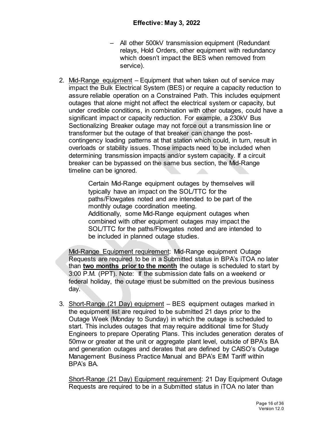- All other 500kV transmission equipment (Redundant relays, Hold Orders, other equipment with redundancy which doesn't impact the BES when removed from service).
- 2. Mid-Range equipment Equipment that when taken out of service may impact the Bulk Electrical System (BES) or require a capacity reduction to assure reliable operation on a Constrained Path. This includes equipment outages that alone might not affect the electrical system or capacity, but under credible conditions, in combination with other outages, could have a significant impact or capacity reduction. For example, a 230kV Bus Sectionalizing Breaker outage may not force out a transmission line or transformer but the outage of that breaker can change the postcontingency loading patterns at that station which could, in turn, result in overloads or stability issues. Those impacts need to be included when determining transmission impacts and/or system capacity. If a circuit breaker can be bypassed on the same bus section, the Mid-Range timeline can be ignored.

Certain Mid-Range equipment outages by themselves will typically have an impact on the SOL/TTC for the paths/Flowgates noted and are intended to be part of the monthly outage coordination meeting. Additionally, some Mid-Range equipment outages when combined with other equipment outages may impact the SOL/TTC for the paths/Flowgates noted and are intended to be included in planned outage studies.

Mid-Range Equipment requirement: Mid-Range equipment Outage Requests are required to be in a Submitted status in BPA's iTOA no later than **two months prior to the month** the outage is scheduled to start by 3:00 P.M. (PPT). Note: If the submission date falls on a weekend or federal holiday, the outage must be submitted on the previous business day.

3. Short-Range (21 Day) equipment – BES equipment outages marked in the equipment list are required to be submitted 21 days prior to the Outage Week (Monday to Sunday) in which the outage is scheduled to start. This includes outages that may require additional time for Study Engineers to prepare Operating Plans. This includes generation derates of 50mw or greater at the unit or aggregate plant level, outside of BPA's BA and generation outages and derates that are defined by CAISO's Outage Management Business Practice Manual and BPA's EIM Tariff within BPA's BA.

Short-Range (21 Day) Equipment requirement: 21 Day Equipment Outage Requests are required to be in a Submitted status in iTOA no later than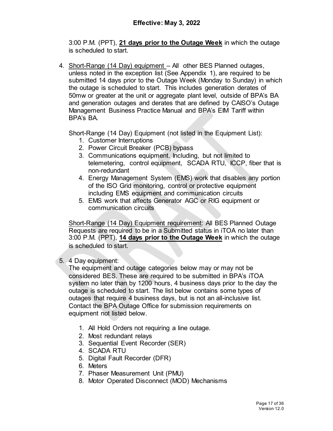3:00 P.M. (PPT), **21 days prior to the Outage Week** in which the outage is scheduled to start.

4. Short-Range (14 Day) equipment – All other BES Planned outages, unless noted in the exception list (See Appendix 1), are required to be submitted 14 days prior to the Outage Week (Monday to Sunday) in which the outage is scheduled to start. This includes generation derates of 50mw or greater at the unit or aggregate plant level, outside of BPA's BA and generation outages and derates that are defined by CAISO's Outage Management Business Practice Manual and BPA's EIM Tariff within BPA's BA.

Short-Range (14 Day) Equipment (not listed in the Equipment List):

- 1. Customer Interruptions
- 2. Power Circuit Breaker (PCB) bypass
- 3. Communications equipment. Including, but not limited to telemetering, control equipment, SCADA RTU, ICCP, fiber that is non-redundant
- 4. Energy Management System (EMS) work that disables any portion of the ISO Grid monitoring, control or protective equipment including EMS equipment and communication circuits
- 5. EMS work that affects Generator AGC or RIG equipment or communication circuits

Short-Range (14 Day) Equipment requirement: All BES Planned Outage Requests are required to be in a Submitted status in iTOA no later than 3:00 P.M. (PPT), **14 days prior to the Outage Week** in which the outage is scheduled to start.

# 5. 4 Day equipment:

The equipment and outage categories below may or may not be considered BES. These are required to be submitted in BPA's iTOA system no later than by 1200 hours, 4 business days prior to the day the outage is scheduled to start. The list below contains some types of outages that require 4 business days, but is not an all-inclusive list. Contact the BPA Outage Office for submission requirements on equipment not listed below.

- 1. All Hold Orders not requiring a line outage.
- 2. Most redundant relays
- 3. Sequential Event Recorder (SER)
- 4. SCADA RTU
- 5. Digital Fault Recorder (DFR)
- 6. Meters
- 7. Phaser Measurement Unit (PMU)
- 8. Motor Operated Disconnect (MOD) Mechanisms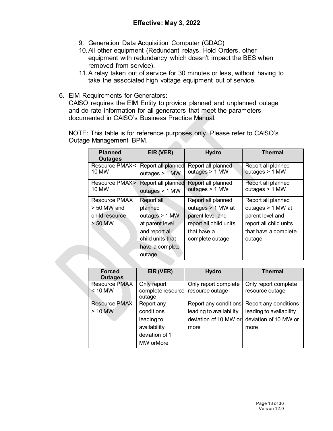- 9. Generation Data Acquisition Computer (GDAC)
- 10.All other equipment (Redundant relays, Hold Orders, other equipment with redundancy which doesn't impact the BES when removed from service).
- 11.A relay taken out of service for 30 minutes or less, without having to take the associated high voltage equipment out of service.
- 6. EIM Requirements for Generators:

CAISO requires the EIM Entity to provide planned and unplanned outage and de-rate information for all generators that meet the parameters documented in CAISO's Business Practice Manual.

NOTE: This table is for reference purposes only. Please refer to CAISO's Outage Management BPM.

| <b>Planned</b><br>Outages                    | EIR (VER)                              | <b>Hydro</b>                         | <b>The mal</b>                       |
|----------------------------------------------|----------------------------------------|--------------------------------------|--------------------------------------|
| <b>Resource PMAX<i< b=""><br/>10 MW</i<></b> | Report all planned<br>outages $> 1$ MW | Report all planned<br>outages > 1 MW | Report all planned<br>outages > 1 MW |
| Resource PMAX>I<br>10 MW                     | Report all planned<br>outages > 1 MW   | Report all planned<br>outages > 1 MW | Report all planned<br>outages > 1 MW |
| Resource PMAX                                | Report all                             | Report all planned                   | Report all planned                   |
| $> 50$ MW and                                | planned                                | outages > 1 MW at                    | outages > 1 MW at                    |
| child resource                               | outages $> 1$ MW                       | parent level and                     | parent level and                     |
| $> 50$ MW                                    | at parent level                        | report all child units               | report all child units               |
|                                              | and report all                         | that have a                          | that have a complete                 |
|                                              | child units that                       | complete outage                      | outage                               |
|                                              | have a complete                        |                                      |                                      |
|                                              | outage                                 |                                      |                                      |

| <b>Forced</b><br><b>Outages</b>   | EIR (VER)                                                                             | <b>Hydro</b>                                                                      | <b>Themal</b>                                                                     |
|-----------------------------------|---------------------------------------------------------------------------------------|-----------------------------------------------------------------------------------|-----------------------------------------------------------------------------------|
| <b>Resource PMAX</b><br>$< 10$ MW | Only report<br>complete resource<br>outage                                            | Only report complete<br>resource outage                                           | Only report complete<br>resource outage                                           |
| <b>Resource PMAX</b><br>$> 10$ MW | Report any<br>conditions<br>leading to<br>availability<br>deviation of 1<br>MW orMore | Report any conditions<br>leading to availability<br>deviation of 10 MW or<br>more | Report any conditions<br>leading to availability<br>deviation of 10 MW or<br>more |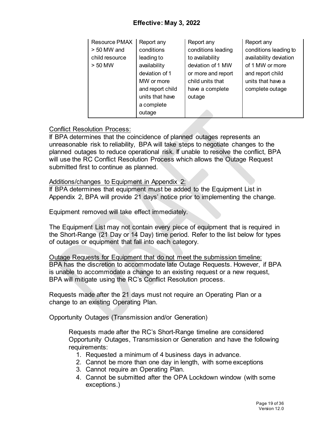# **Effective: May 3, 2022**

| Resource PMAX  | Report any       | Report any         | Report any             |
|----------------|------------------|--------------------|------------------------|
| $> 50$ MW and  | conditions       | conditions leading | conditions leading to  |
| child resource | leading to       | to availability    | availability deviation |
| > 50 MW        | availability     | deviation of 1 MW  | of 1 MW or more        |
|                | deviation of 1   | or more and report | and report child       |
|                | MW or more       | child units that   | units that have a      |
|                | and report child | have a complete    | complete outage        |
|                | units that have  | outage             |                        |
|                | a complete       |                    |                        |
|                | outage           |                    |                        |

#### Conflict Resolution Process:

If BPA determines that the coincidence of planned outages represents an unreasonable risk to reliability, BPA will take steps to negotiate changes to the planned outages to reduce operational risk. If unable to resolve the conflict, BPA will use the RC Conflict Resolution Process which allows the Outage Request submitted first to continue as planned.

#### Additions/changes to Equipment in Appendix 2:

If BPA determines that equipment must be added to the Equipment List in Appendix 2, BPA will provide 21 days' notice prior to implementing the change.

Equipment removed will take effect immediately.

The Equipment List may not contain every piece of equipment that is required in the Short-Range (21 Day or 14 Day) time period. Refer to the list below for types of outages or equipment that fall into each category.

Outage Requests for Equipment that do not meet the submission timeline: BPA has the discretion to accommodate late Outage Requests. However, if BPA is unable to accommodate a change to an existing request or a new request, BPA will mitigate using the RC's Conflict Resolution process.

Requests made after the 21 days must not require an Operating Plan or a change to an existing Operating Plan.

Opportunity Outages (Transmission and/or Generation)

Requests made after the RC's Short-Range timeline are considered Opportunity Outages, Transmission or Generation and have the following requirements:

- 1. Requested a minimum of 4 business days in advance.
- 2. Cannot be more than one day in length, with some exceptions
- 3. Cannot require an Operating Plan.
- 4. Cannot be submitted after the OPA Lockdown window (with some exceptions.)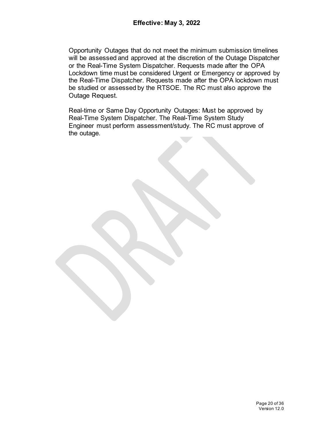Opportunity Outages that do not meet the minimum submission timelines will be assessed and approved at the discretion of the Outage Dispatcher or the Real-Time System Dispatcher. Requests made after the OPA Lockdown time must be considered Urgent or Emergency or approved by the Real-Time Dispatcher. Requests made after the OPA lockdown must be studied or assessed by the RTSOE. The RC must also approve the Outage Request.

Real-time or Same Day Opportunity Outages: Must be approved by Real-Time System Dispatcher. The Real-Time System Study Engineer must perform assessment/study. The RC must approve of the outage.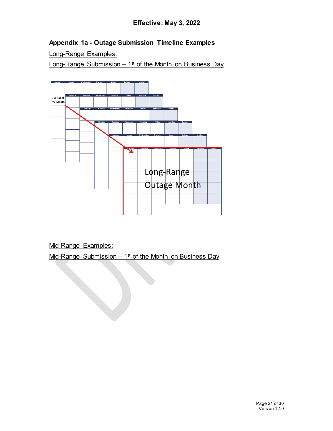# **Appendix 1a - Outage Submission Timeline Examples**

Long-Range Examples:

Long-Range Submission  $-1<sup>st</sup>$  of the Month on Business Day



Mid-Range Examples:

Mid-Range Submission –  $1<sup>st</sup>$  of the Month on Business Day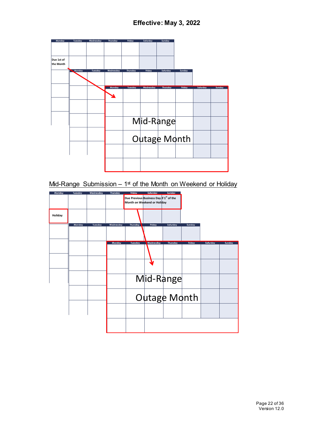

Mid-Range Submission –  $1<sup>st</sup>$  of the Month on Weekend or Holiday

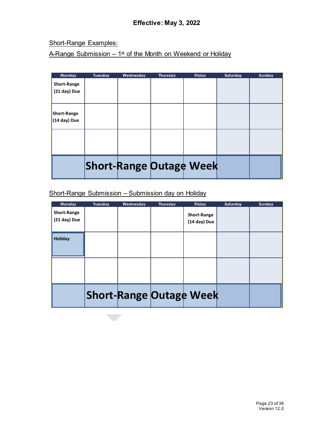Short-Range Examples:

A-Range Submission  $-1$ <sup>st</sup> of the Month on Weekend or Holiday

| <b>Monday</b>      | Tuesday | Wednesday | <b>Thursday</b> | Friday                         | Saturday | Sunday |
|--------------------|---------|-----------|-----------------|--------------------------------|----------|--------|
| <b>Short-Range</b> |         |           |                 |                                |          |        |
| (21 day) Due       |         |           |                 |                                |          |        |
|                    |         |           |                 |                                |          |        |
|                    |         |           |                 |                                |          |        |
| <b>Short-Range</b> |         |           |                 |                                |          |        |
| (14 day) Due       |         |           |                 |                                |          |        |
|                    |         |           |                 |                                |          |        |
|                    |         |           |                 |                                |          |        |
|                    |         |           |                 |                                |          |        |
|                    |         |           |                 |                                |          |        |
|                    |         |           |                 |                                |          |        |
|                    |         |           |                 | <b>Short-Range Outage Week</b> |          |        |
|                    |         |           |                 |                                |          |        |

# Short-Range Submission – Submission day on Holiday

| Monday             | Tuesday | Wednesday | <b>Thursday</b> | Friday                         | Saturday | Sunday |
|--------------------|---------|-----------|-----------------|--------------------------------|----------|--------|
| <b>Short-Range</b> |         |           |                 | <b>Short-Range</b>             |          |        |
| (21 day) Due       |         |           |                 | (14 day) Due                   |          |        |
|                    |         |           |                 |                                |          |        |
| <b>Holiday</b>     |         |           |                 |                                |          |        |
|                    |         |           |                 |                                |          |        |
|                    |         |           |                 |                                |          |        |
|                    |         |           |                 |                                |          |        |
|                    |         |           |                 |                                |          |        |
|                    |         |           |                 |                                |          |        |
|                    |         |           |                 |                                |          |        |
|                    |         |           |                 | <b>Short-Range Outage Week</b> |          |        |
|                    |         |           |                 |                                |          |        |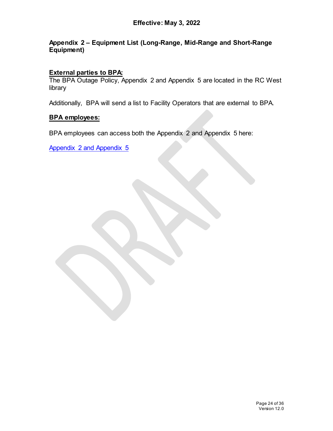#### <span id="page-23-0"></span>**Appendix 2 – Equipment List (Long-Range, Mid-Range and Short-Range Equipment)**

# **External parties to BPA:**

The BPA Outage Policy, Appendix 2 and Appendix 5 are located in the RC West library

Additionally, BPA will send a list to Facility Operators that are external to BPA.

#### **BPA employees:**

BPA employees can access both the Appendix 2 and Appendix 5 here:

[Appendix 2 and Appendix 5](https://txportal.bud.bpa.gov/orgs/TO/TOR/BPAOutageOffice/OutageCoordination/SOLViolation/Forms/AllItems.aspx?RootFolder=%2Forgs%2FTO%2FTOR%2FBPAOutageOffice%2FOutageCoordination%2FSOLViolation%2FAppendix%202%20and%20Appendix%205&FolderCTID=0x0120006E9246796844794EB50DC558ABCA988E&View=%7b11FCE9E2-4FB9-42F1-A247-D0A759730C9E%7d)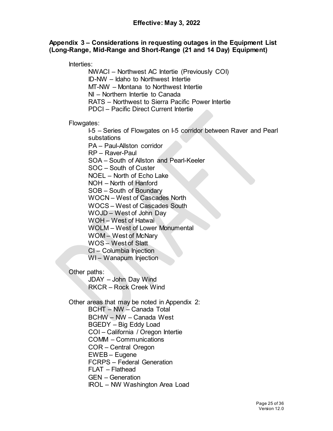#### <span id="page-24-0"></span>**Appendix 3 – Considerations in requesting outages in the Equipment List (Long-Range, Mid-Range and Short-Range (21 and 14 Day) Equipment)**

Interties:

NWACI – Northwest AC Intertie (Previously COI) ID-NW – Idaho to Northwest Intertie MT-NW – Montana to Northwest Intertie NI – Northern Intertie to Canada RATS – Northwest to Sierra Pacific Power Intertie PDCI – Pacific Direct Current Intertie

Flowgates:

I-5 – Series of Flowgates on I-5 corridor between Raver and Pearl substations

PA – Paul-Allston corridor

RP – Raver-Paul

SOA – South of Allston and Pearl-Keeler

SOC – South of Custer

NOEL – North of Echo Lake

NOH – North of Hanford

SOB – South of Boundary

WOCN – West of Cascades North

WOCS – West of Cascades South

WOJD – West of John Day

WOH – West of Hatwai

WOLM – West of Lower Monumental

WOM – West of McNary

WOS – West of Slatt

CI – Columbia Injection

WI-Wanapum Injection

Other paths:

JDAY – John Day Wind RKCR – Rock Creek Wind

Other areas that may be noted in Appendix 2:

BCHT – NW – Canada Total BCHW – NW – Canada West

BGEDY – Big Eddy Load

COI – California / Oregon Intertie

COMM – Communications

COR – Central Oregon

EWEB – Eugene

FCRPS – Federal Generation

FLAT – Flathead

GEN – Generation

IROL – NW Washington Area Load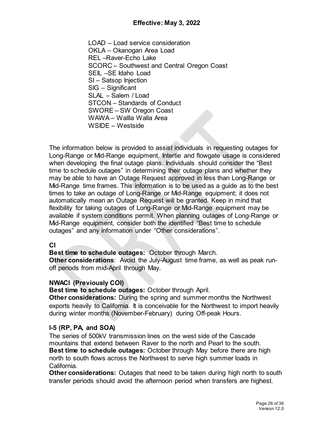LOAD – Load service consideration OKLA – Okanogan Area Load REL –Raver-Echo Lake SCORC – Southwest and Central Oregon Coast SEIL –SE Idaho Load SI – Satsop Injection SIG – Significant SLAL – Salem / Load STCON – Standards of Conduct SWORE – SW Oregon Coast WAWA – Wallla Walla Area WSIDE – Westside

The information below is provided to assist individuals in requesting outages for Long-Range or Mid-Range equipment. Intertie and flowgate usage is considered when developing the final outage plans. Individuals should consider the "Best time to schedule outages" in determining their outage plans and whether they may be able to have an Outage Request approved in less than Long-Range or Mid-Range time frames. This information is to be used as a guide as to the best times to take an outage of Long-Range or Mid-Range equipment; it does not automatically mean an Outage Request will be granted. Keep in mind that flexibility for taking outages of Long-Range or Mid-Range equipment may be available if system conditions permit. When planning outages of Long-Range or Mid-Range equipment, consider both the identified "Best time to schedule outages" and any information under "Other considerations".

#### **CI**

**Best time to schedule outages:** October through March.

**Other considerations**: Avoid the July-August time frame, as well as peak runoff periods from mid-April through May.

#### **NWACI (Previously COI)**

**Best time to schedule outages:** October through April.

**Other considerations:** During the spring and summer months the Northwest exports heavily to California. It is conceivable for the Northwest to import heavily during winter months (November-February) during Off-peak Hours.

# **I-5 (RP, PA, and SOA)**

The series of 500kV transmission lines on the west side of the Cascade mountains that extend between Raver to the north and Pearl to the south. **Best time to schedule outages:** October through May before there are high north to south flows across the Northwest to serve high summer loads in California.

**Other considerations:** Outages that need to be taken during high north to south transfer periods should avoid the afternoon period when transfers are highest.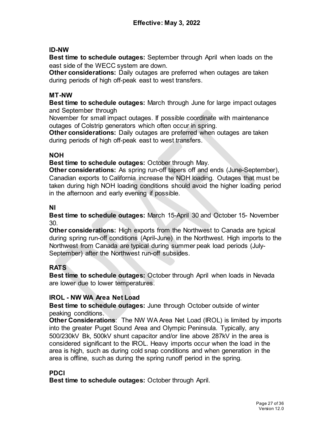#### **ID-NW**

**Best time to schedule outages:** September through April when loads on the east side of the WECC system are down.

**Other considerations:** Daily outages are preferred when outages are taken during periods of high off-peak east to west transfers.

#### **MT-NW**

**Best time to schedule outages:** March through June for large impact outages and September through

November for small impact outages. If possible coordinate with maintenance outages of Colstrip generators which often occur in spring.

**Other considerations:** Daily outages are preferred when outages are taken during periods of high off-peak east to west transfers.

#### **NOH**

**Best time to schedule outages:** October through May.

**Other considerations:** As spring run-off tapers off and ends (June-September), Canadian exports to California increase the NOH loading. Outages that must be taken during high NOH loading conditions should avoid the higher loading period in the afternoon and early evening if possible.

#### **NI**

**Best time to schedule outages:** March 15-April 30 and October 15- November 30.

**Other considerations:** High exports from the Northwest to Canada are typical during spring run-off conditions (April-June) in the Northwest. High imports to the Northwest from Canada are typical during summer peak load periods (July-September) after the Northwest run-off subsides.

# **RATS**

**Best time to schedule outages:** October through April when loads in Nevada are lower due to lower temperatures.

# **IROL - NW WA Area Net Load**

**Best time to schedule outages:** June through October outside of winter peaking conditions.

**Other Considerations**: The NW WA Area Net Load (IROL) is limited by imports into the greater Puget Sound Area and Olympic Peninsula. Typically, any 500/230kV Bk, 500kV shunt capacitor and/or line above 287kV in the area is considered significant to the IROL. Heavy imports occur when the load in the area is high, such as during cold snap conditions and when generation in the area is offline, such as during the spring runoff period in the spring.

# **PDCI**

**Best time to schedule outages:** October through April.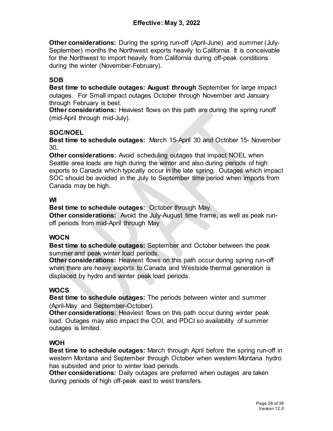**Other considerations:** During the spring run-off (April-June) and summer (July-September) months the Northwest exports heavily to California. It is conceivable for the Northwest to import heavily from California during off-peak conditions during the winter (November-February).

# **SOB**

**Best time to schedule outages: August through** September for large impact outages. For Small impact outages October through November and January through February is best.

**Other considerations:** Heaviest flows on this path are during the spring runoff (mid-April through mid-July).

# **SOC/NOEL**

**Best time to schedule outages:** March 15-April 30 and October 15- November 30**.**

**Other considerations:** Avoid scheduling outages that impact NOEL when Seattle area loads are high during the winter and also during periods of high exports to Canada which typically occur in the late spring. Outages which impact SOC should be avoided in the July to September time period when imports from Canada may be high.

# **WI**

**Best time to schedule outages:** October through May.

**Other considerations:** Avoid the July-August time frame, as well as peak runoff periods from mid-April through May

# **WOCN**

**Best time to schedule outages:** September and October between the peak summer and peak winter load periods.

**Other considerations:** Heaviest flows on this path occur during spring run-off when there are heavy exports to Canada and Westside thermal generation is displaced by hydro and winter peak load periods.

# **WOCS**

**Best time to schedule outages:** The periods between winter and summer (April-May and September-October).

**Other considerations:** Heaviest flows on this path occur during winter peak load. Outages may also impact the COI, and PDCI so availability of summer outages is limited.

# **WOH**

**Best time to schedule outages:** March through April before the spring run-off in western Montana and September through October when western Montana hydro has subsided and prior to winter load periods.

**Other considerations:** Daily outages are preferred when outages are taken during periods of high off-peak east to west transfers.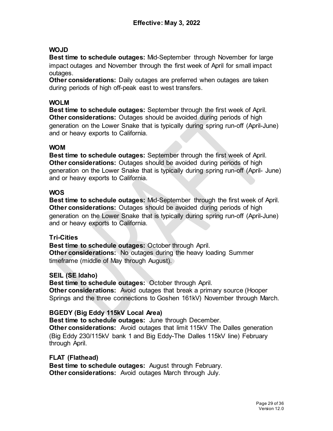#### **WOJD**

**Best time to schedule outages:** Mid-September through November for large impact outages and November through the first week of April for small impact outages.

**Other considerations:** Daily outages are preferred when outages are taken during periods of high off-peak east to west transfers.

#### **WOLM**

**Best time to schedule outages:** September through the first week of April. **Other considerations:** Outages should be avoided during periods of high generation on the Lower Snake that is typically during spring run-off (April-June) and or heavy exports to California.

#### **WOM**

**Best time to schedule outages:** September through the first week of April. **Other considerations:** Outages should be avoided during periods of high generation on the Lower Snake that is typically during spring run-off (April- June) and or heavy exports to California.

#### **WOS**

**Best time to schedule outages:** Mid-September through the first week of April. **Other considerations:** Outages should be avoided during periods of high generation on the Lower Snake that is typically during spring run-off (April-June) and or heavy exports to California.

#### **Tri-Cities**

**Best time to schedule outages:** October through April. **Other considerations:** No outages during the heavy loading Summer timeframe (middle of May through August).

#### **SEIL (SE Idaho)**

**Best time to schedule outages:** October through April. **Other considerations:** Avoid outages that break a primary source (Hooper Springs and the three connections to Goshen 161kV) November through March.

#### **BGEDY (Big Eddy 115kV Local Area)**

**Best time to schedule outages:** June through December.

**Other considerations:** Avoid outages that limit 115kV The Dalles generation (Big Eddy 230/115kV bank 1 and Big Eddy-The Dalles 115kV line) February through April.

**FLAT (Flathead) Best time to schedule outages:** August through February. **Other considerations:** Avoid outages March through July.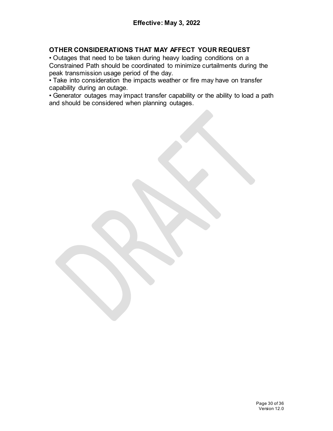#### **OTHER CONSIDERATIONS THAT MAY AFFECT YOUR REQUEST**

• Outages that need to be taken during heavy loading conditions on a Constrained Path should be coordinated to minimize curtailments during the peak transmission usage period of the day.

• Take into consideration the impacts weather or fire may have on transfer capability during an outage.

• Generator outages may impact transfer capability or the ability to load a path and should be considered when planning outages.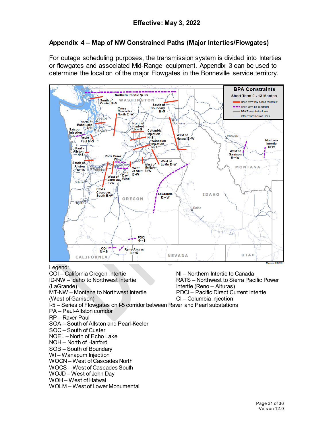# <span id="page-30-0"></span>**Appendix 4 – Map of NW Constrained Paths (Major Interties/Flowgates)**

For outage scheduling purposes, the transmission system is divided into Interties or flowgates and associated Mid-Range equipment. Appendix 3 can be used to determine the location of the major Flowgates in the Bonneville service territory.



#### Legend:

COI – California Oregon Intertie ID-NW – Idaho to Northwest Intertie (LaGrande) MT-NW – Montana to Northwest Intertie (West of Garrison) NI – Northern Intertie to Canada RATS – Northwest to Sierra Pacific Power Intertie (Reno – Alturas) PDCI – Pacific Direct Current Intertie CI – Columbia Injection I-5 – Series of Flowgates on I-5 corridor between Raver and Pearl substations PA – Paul-Allston corridor RP – Raver-Paul SOA – South of Allston and Pearl-Keeler SOC – South of Custer NOEL – North of Echo Lake NOH – North of Hanford SOB – South of Boundary WI – Wanapum Injection WOCN – West of Cascades North WOCS – West of Cascades South WOJD – West of John Day

WOH – West of Hatwai

WOLM – West of Lower Monumental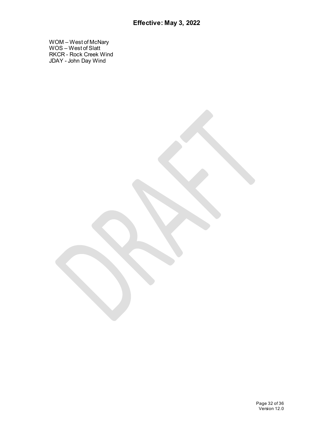WOM – West of McNary WOS – West of Slatt RKCR - Rock Creek Wind JDAY - John Day Wind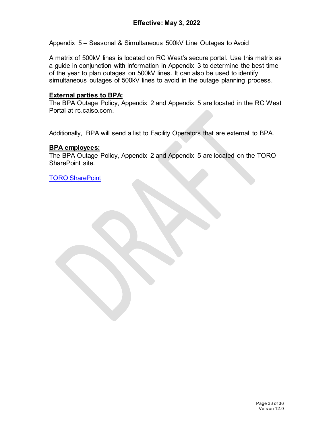Appendix 5 – Seasonal & Simultaneous 500kV Line Outages to Avoid

A matrix of 500kV lines is located on RC West's secure portal. Use this matrix as a guide in conjunction with information in Appendix 3 to determine the best time of the year to plan outages on 500kV lines. It can also be used to identify simultaneous outages of 500kV lines to avoid in the outage planning process.

#### **External parties to BPA:**

The BPA Outage Policy, Appendix 2 and Appendix 5 are located in the RC West Portal at rc.caiso.com.

Additionally, BPA will send a list to Facility Operators that are external to BPA.

#### **BPA employees:**

The BPA Outage Policy, Appendix 2 and Appendix 5 are located on the TORO SharePoint site.

[TORO SharePoint](https://txportal.bud.bpa.gov/orgs/TO/TOR/BPAOutageOffice/SitePages/Home%20Page.aspx)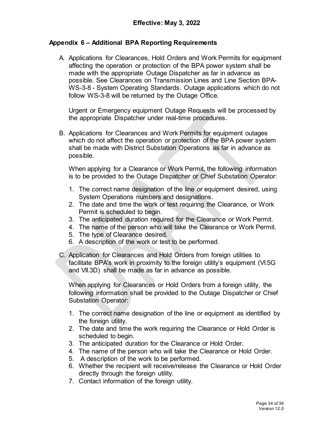#### <span id="page-33-0"></span>**Appendix 6 – Additional BPA Reporting Requirements**

A. Applications for Clearances, Hold Orders and Work Permits for equipment affecting the operation or protection of the BPA power system shall be made with the appropriate Outage Dispatcher as far in advance as possible. See Clearances on Transmission Lines and Line Section BPA-WS-3-8 - System Operating Standards. Outage applications which do not follow WS-3-8 will be returned by the Outage Office.

Urgent or Emergency equipment Outage Requests will be processed by the appropriate Dispatcher under real-time procedures.

B. Applications for Clearances and Work Permits for equipment outages which do not affect the operation or protection of the BPA power system shall be made with District Substation Operations as far in advance as possible.

When applying for a Clearance or Work Permit, the following information is to be provided to the Outage Dispatcher or Chief Substation Operator:

- 1. The correct name designation of the line or equipment desired, using System Operations numbers and designations.
- 2. The date and time the work or test requiring the Clearance, or Work Permit is scheduled to begin.
- 3. The anticipated duration required for the Clearance or Work Permit.
- 4. The name of the person who will take the Clearance or Work Permit.
- 5. The type of Clearance desired.
- 6. A description of the work or test to be performed.
- C. Application for Clearances and Hold Orders from foreign utilities to facilitate BPA's work in proximity to the foreign utility's equipment (VI.5G and VII.3D) shall be made as far in advance as possible.

When applying for Clearances or Hold Orders from a foreign utility, the following information shall be provided to the Outage Dispatcher or Chief Substation Operator:

- 1. The correct name designation of the line or equipment as identified by the foreign utility.
- 2. The date and time the work requiring the Clearance or Hold Order is scheduled to begin.
- 3. The anticipated duration for the Clearance or Hold Order.
- 4. The name of the person who will take the Clearance or Hold Order.
- 5. A description of the work to be performed.
- 6. Whether the recipient will receive/release the Clearance or Hold Order directly through the foreign utility.
- 7. Contact information of the foreign utility.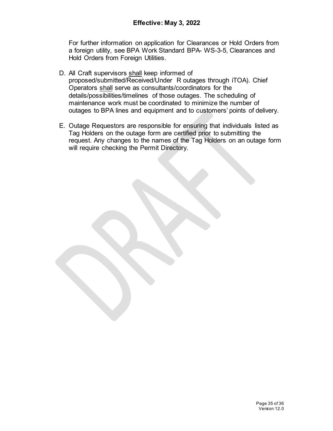For further information on application for Clearances or Hold Orders from a foreign utility, see BPA Work Standard BPA- WS-3-5, Clearances and Hold Orders from Foreign Utilities.

- D. All Craft supervisors shall keep informed of proposed/submitted/Received/Under R outages through iTOA). Chief Operators shall serve as consultants/coordinators for the details/possibilities/timelines of those outages. The scheduling of maintenance work must be coordinated to minimize the number of outages to BPA lines and equipment and to customers' points of delivery.
- E. Outage Requestors are responsible for ensuring that individuals listed as Tag Holders on the outage form are certified prior to submitting the request. Any changes to the names of the Tag Holders on an outage form will require checking the Permit Directory.